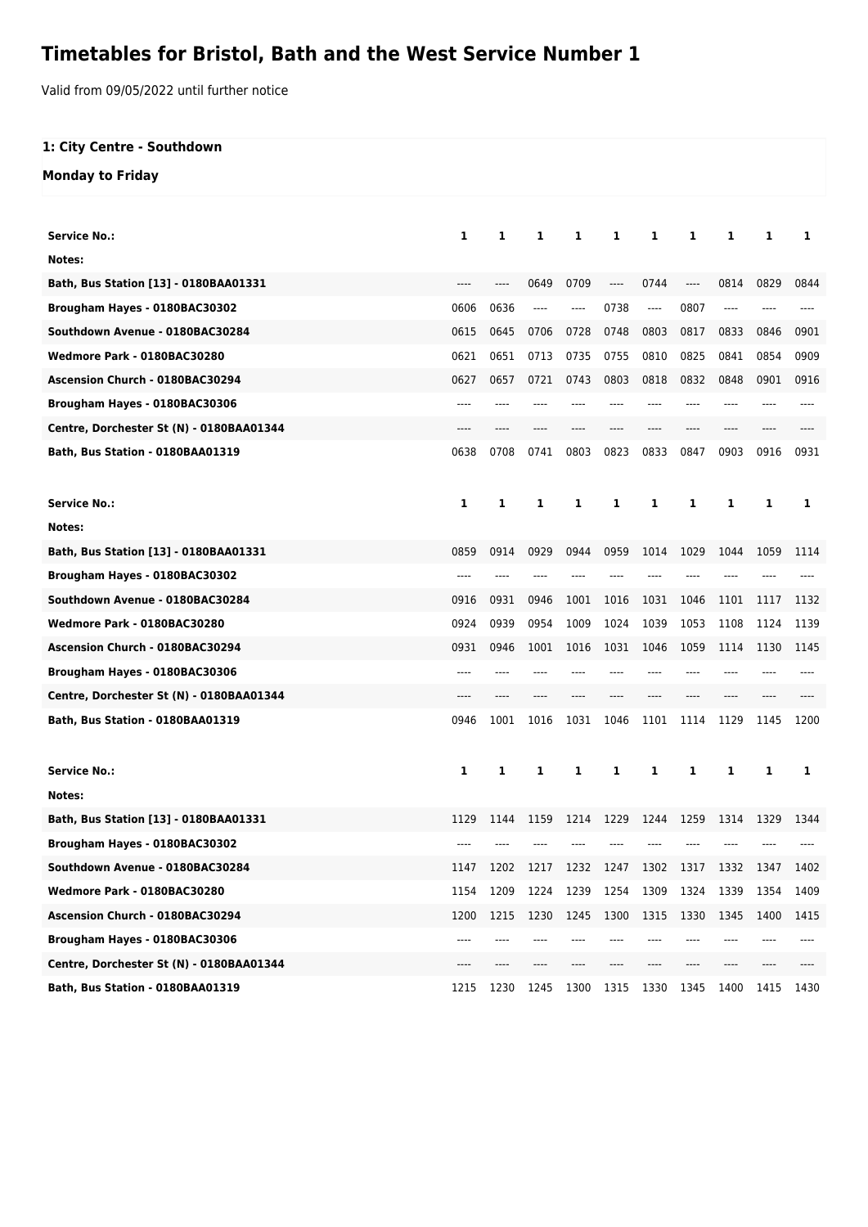## **Timetables for Bristol, Bath and the West Service Number 1**

Valid from 09/05/2022 until further notice

## **1: City Centre - Southdown**

## **Monday to Friday**

| <b>Service No.:</b>                      | 1    | 1    | 1         | 1    | 1    | 1    | 1    | 1         | 1    | 1    |
|------------------------------------------|------|------|-----------|------|------|------|------|-----------|------|------|
| Notes:                                   |      |      |           |      |      |      |      |           |      |      |
| Bath, Bus Station [13] - 0180BAA01331    | ---- | ---- | 0649      | 0709 | ---- | 0744 | ---- | 0814      | 0829 | 0844 |
| Brougham Hayes - 0180BAC30302            | 0606 | 0636 | ----      | ---- | 0738 | ---- | 0807 | $-----$   | ---- |      |
| Southdown Avenue - 0180BAC30284          | 0615 | 0645 | 0706      | 0728 | 0748 | 0803 | 0817 | 0833      | 0846 | 0901 |
| Wedmore Park - 0180BAC30280              | 0621 | 0651 | 0713      | 0735 | 0755 | 0810 | 0825 | 0841      | 0854 | 0909 |
| Ascension Church - 0180BAC30294          | 0627 | 0657 | 0721      | 0743 | 0803 | 0818 | 0832 | 0848      | 0901 | 0916 |
| Brougham Hayes - 0180BAC30306            | ---- |      |           |      |      |      | ---- |           |      |      |
| Centre, Dorchester St (N) - 0180BAA01344 | ---- |      |           |      |      |      |      |           |      |      |
| Bath, Bus Station - 0180BAA01319         | 0638 | 0708 | 0741      | 0803 | 0823 | 0833 | 0847 | 0903      | 0916 | 0931 |
|                                          |      |      |           |      |      |      |      |           |      |      |
| <b>Service No.:</b>                      | 1    | 1    | 1         | 1    | 1    | 1    | 1    | 1         | 1    | 1    |
| Notes:                                   |      |      |           |      |      |      |      |           |      |      |
| Bath, Bus Station [13] - 0180BAA01331    | 0859 | 0914 | 0929      | 0944 | 0959 | 1014 | 1029 | 1044      | 1059 | 1114 |
| Brougham Hayes - 0180BAC30302            | ---- |      |           |      |      |      |      |           |      |      |
| Southdown Avenue - 0180BAC30284          | 0916 | 0931 | 0946      | 1001 | 1016 | 1031 | 1046 | 1101      | 1117 | 1132 |
| Wedmore Park - 0180BAC30280              | 0924 | 0939 | 0954      | 1009 | 1024 | 1039 | 1053 | 1108      | 1124 | 1139 |
| Ascension Church - 0180BAC30294          | 0931 | 0946 | 1001      | 1016 | 1031 | 1046 | 1059 | 1114      | 1130 | 1145 |
| Brougham Hayes - 0180BAC30306            | ---- | ---- |           |      |      | ---- | ---- | ----      |      |      |
| Centre, Dorchester St (N) - 0180BAA01344 | ---- |      |           |      |      |      | ---- | ----      |      |      |
| Bath, Bus Station - 0180BAA01319         | 0946 | 1001 | 1016      | 1031 | 1046 | 1101 | 1114 | 1129      | 1145 | 1200 |
|                                          |      |      |           |      |      |      |      |           |      |      |
| <b>Service No.:</b>                      | 1    | 1    | 1         | 1    | 1    | 1    | 1    | 1         | 1    | 1    |
| Notes:                                   |      |      |           |      |      |      |      |           |      |      |
| Bath, Bus Station [13] - 0180BAA01331    | 1129 | 1144 | 1159      | 1214 | 1229 | 1244 | 1259 | 1314      | 1329 | 1344 |
| Brougham Hayes - 0180BAC30302            |      |      |           |      |      |      |      |           |      |      |
| Southdown Avenue - 0180BAC30284          | 1147 | 1202 | 1217 1232 |      | 1247 | 1302 | 1317 | 1332 1347 |      | 1402 |
| Wedmore Park - 0180BAC30280              | 1154 | 1209 | 1224      | 1239 | 1254 | 1309 | 1324 | 1339      | 1354 | 1409 |
| Ascension Church - 0180BAC30294          | 1200 | 1215 | 1230      | 1245 | 1300 | 1315 | 1330 | 1345      | 1400 | 1415 |
| Brougham Hayes - 0180BAC30306            | ---- |      |           |      |      |      |      |           |      |      |
| Centre, Dorchester St (N) - 0180BAA01344 | ---- |      |           |      |      |      |      |           |      |      |
| Bath, Bus Station - 0180BAA01319         | 1215 | 1230 | 1245      | 1300 | 1315 | 1330 | 1345 | 1400      | 1415 | 1430 |